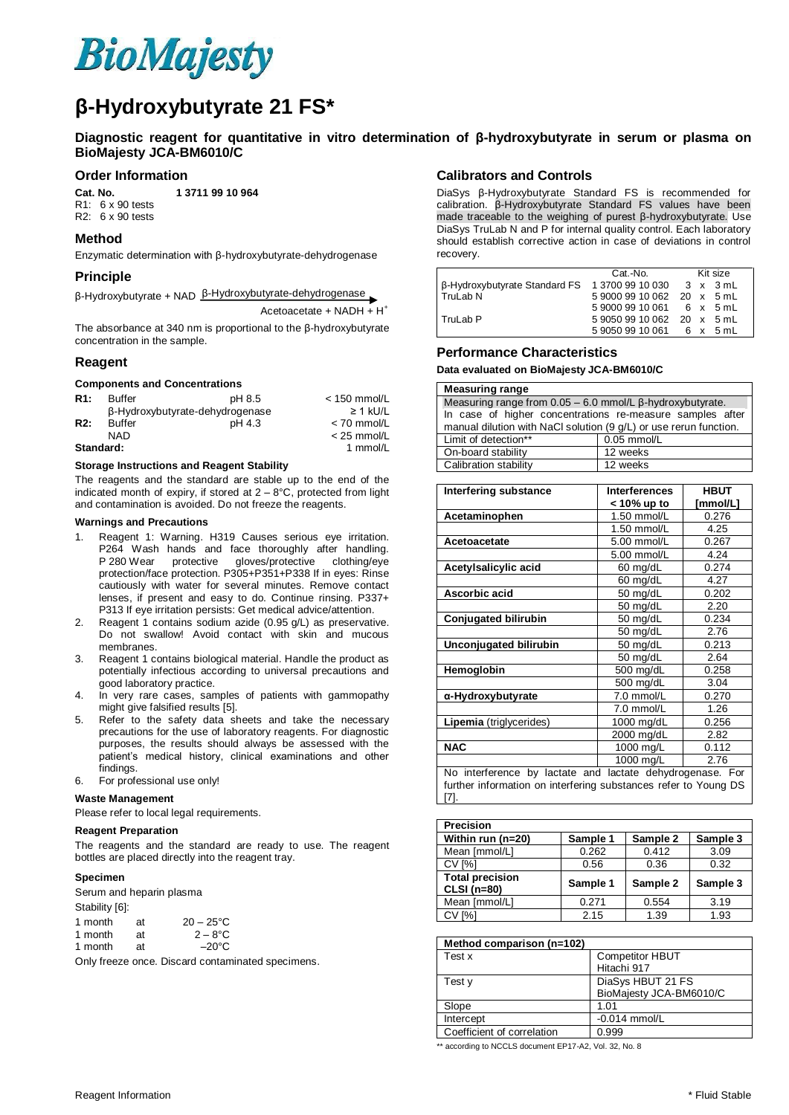

# **β-Hydroxybutyrate 21 FS\***

**Diagnostic reagent for quantitative in vitro determination of β-hydroxybutyrate in serum or plasma on BioMajesty JCA-BM6010/C**

### **Order Information**

**Cat. No. 1 3711 99 10 964**

R1: 6 x 90 tests R2: 6 x 90 tests

# **Method**

Enzymatic determination with β-hydroxybutyrate-dehydrogenase

## **Principle**

| $\beta$ -Hydroxybutyrate + NAD $\beta$ -Hydroxybutyrate-dehydrogenase |  |
|-----------------------------------------------------------------------|--|
|-----------------------------------------------------------------------|--|

Acetoacetate + NADH  $+ H^+$ 

The absorbance at 340 nm is proportional to the β-hydroxybutyrate concentration in the sample.

# **Reagent**

#### **Components and Concentrations**

| R <sub>1:</sub>  | <b>Buffer</b> | pH 8.5                          | $<$ 150 mmol/L |
|------------------|---------------|---------------------------------|----------------|
|                  |               | β-Hydroxybutyrate-dehydrogenase | $\geq$ 1 kU/L  |
| R <sub>2</sub> : | <b>Buffer</b> | pH 4.3                          | $<$ 70 mmol/L  |
|                  | NAD           |                                 | $<$ 25 mmol/L  |
| Standard:        |               |                                 | 1 mmol/L       |

#### **Storage Instructions and Reagent Stability**

The reagents and the standard are stable up to the end of the indicated month of expiry, if stored at  $2 - 8$ °C, protected from light and contamination is avoided. Do not freeze the reagents.

#### **Warnings and Precautions**

- 1. Reagent 1: Warning. H319 Causes serious eye irritation. P264 Wash hands and face thoroughly after handling. P 280 Wear protective gloves/protective clothing/eye protection/face protection. P305+P351+P338 If in eyes: Rinse cautiously with water for several minutes. Remove contact lenses, if present and easy to do. Continue rinsing. P337+ P313 If eye irritation persists: Get medical advice/attention.
- 2. Reagent 1 contains sodium azide (0.95 g/L) as preservative. Do not swallow! Avoid contact with skin and mucous membranes.
- 3. Reagent 1 contains biological material. Handle the product as potentially infectious according to universal precautions and good laboratory practice.
- 4. In very rare cases, samples of patients with gammopathy might give falsified results [5].
- 5. Refer to the safety data sheets and take the necessary precautions for the use of laboratory reagents. For diagnostic purposes, the results should always be assessed with the patient's medical history, clinical examinations and other findings.
- 6. For professional use only!

### **Waste Management**

Please refer to local legal requirements.

# **Reagent Preparation**

The reagents and the standard are ready to use. The reagent bottles are placed directly into the reagent tray.

#### **Specimen**

| Serum and heparin plasma |  |  |
|--------------------------|--|--|
|--------------------------|--|--|

Stability [6]:

| 1 month | аt | $20 - 25^{\circ}C$ |
|---------|----|--------------------|
| 1 month | аt | $2 - 8^\circ C$    |
| 1 month | аt | $-20^{\circ}$ C    |

Only freeze once. Discard contaminated specimens.

# **Calibrators and Controls**

DiaSys β-Hydroxybutyrate Standard FS is recommended for calibration. β-Hydroxybutyrate Standard FS values have been made traceable to the weighing of purest β-hydroxybutyrate. Use DiaSys TruLab N and P for internal quality control. Each laboratory should establish corrective action in case of deviations in control recovery.

|                                                         | Cat.-No.                   |  | Kit size |  |
|---------------------------------------------------------|----------------------------|--|----------|--|
| B-Hydroxybutyrate Standard FS 1 3700 99 10 030 3 x 3 mL |                            |  |          |  |
| TruLab N                                                | 5 9000 99 10 062 20 x 5 mL |  |          |  |
|                                                         | 590009910061 6 x 5 mL      |  |          |  |
| TruLab P                                                | 5 9050 99 10 062 20 x 5 mL |  |          |  |
|                                                         | 590509910061 6 x 5 mL      |  |          |  |
|                                                         |                            |  |          |  |

## **Performance Characteristics**

**Data evaluated on BioMajesty JCA-BM6010/C** 

### **Measuring range**

| Measuring range from $0.05 - 6.0$ mmol/L $\beta$ -hydroxybutyrate. |          |  |
|--------------------------------------------------------------------|----------|--|
| In case of higher concentrations re-measure samples after          |          |  |
| manual dilution with NaCl solution (9 g/L) or use rerun function.  |          |  |
| Limit of detection**<br>$0.05$ mmol/L                              |          |  |
| On-board stability                                                 | 12 weeks |  |
| Calibration stability                                              | 12 weeks |  |

| Interfering substance                                     | <b>Interferences</b> | <b>HBUT</b> |
|-----------------------------------------------------------|----------------------|-------------|
|                                                           | < 10% up to          | [mmol/L]    |
| Acetaminophen                                             | 1.50 mmol/L<br>0.276 |             |
|                                                           | 1.50 mmol/L          | 4.25        |
| Acetoacetate                                              | 5.00 mmol/L          | 0.267       |
|                                                           | 5.00 mmol/L          | 4.24        |
| Acetylsalicylic acid                                      | 60 mg/dL             | 0.274       |
|                                                           | 60 mg/dL             | 4.27        |
| Ascorbic acid                                             | 50 mg/dL             | 0.202       |
|                                                           | 50 mg/dL             | 2.20        |
| <b>Conjugated bilirubin</b>                               | 50 mg/dL             | 0.234       |
|                                                           | 50 mg/dL             | 2.76        |
| Unconjugated bilirubin                                    | 50 mg/dL             | 0.213       |
|                                                           | 50 mg/dL             | 2.64        |
| Hemoglobin                                                | 500 mg/dL            | 0.258       |
|                                                           | 500 mg/dL            | 3.04        |
| α-Hydroxybutyrate                                         | 7.0 mmol/L           | 0.270       |
|                                                           | 7.0 mmol/L           | 1.26        |
| Lipemia (triglycerides)                                   | 1000 mg/dL           | 0.256       |
|                                                           | 2000 mg/dL           | 2.82        |
| <b>NAC</b>                                                | 1000 mg/L            | 0.112       |
|                                                           | 1000 mg/L            | 2.76        |
| No interference by lactate and lactate dehydrogenase. For |                      |             |

further information on interfering substances refer to Young DS [7].

| <b>Precision</b>                             |          |          |          |
|----------------------------------------------|----------|----------|----------|
| Within run (n=20)                            | Sample 1 | Sample 2 | Sample 3 |
| Mean [mmol/L]                                | 0.262    | 0.412    | 3.09     |
| <b>CV [%]</b>                                | 0.56     | 0.36     | 0.32     |
| <b>Total precision</b><br><b>CLSI</b> (n=80) | Sample 1 | Sample 2 | Sample 3 |
| Mean [mmol/L]                                | 0.271    | 0.554    | 3.19     |
| <b>CV [%]</b>                                | 2.15     | 1.39     | 1.93     |

| Method comparison (n=102)  |                         |
|----------------------------|-------------------------|
| Test x                     | <b>Competitor HBUT</b>  |
|                            | Hitachi 917             |
| Test v                     | DiaSys HBUT 21 FS       |
|                            | BioMajesty JCA-BM6010/C |
| Slope                      | 1.01                    |
| Intercept                  | $-0.014$ mmol/L         |
| Coefficient of correlation | 0.999                   |

\*\* according to NCCLS document EP17-A2, Vol. 32, No. 8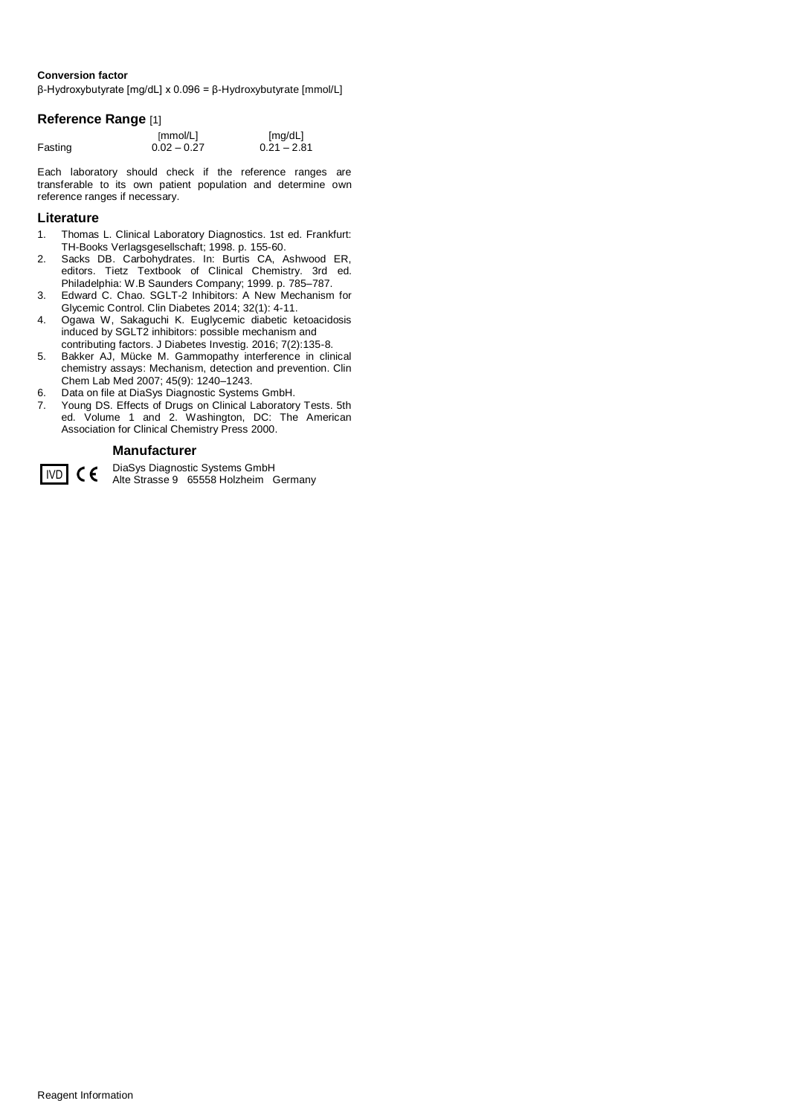# **Conversion factor**

β-Hydroxybutyrate [mg/dL] x 0.096 = β-Hydroxybutyrate [mmol/L]

# **Reference Range** [1]

|         | [mmol/L]      | [mg/dL]       |
|---------|---------------|---------------|
| Fasting | $0.02 - 0.27$ | $0.21 - 2.81$ |

Each laboratory should check if the reference ranges are transferable to its own patient population and determine own reference ranges if necessary.

# **Literature**

- 1. Thomas L. Clinical Laboratory Diagnostics. 1st ed. Frankfurt: TH-Books Verlagsgesellschaft; 1998. p. 155-60.
- 2. Sacks DB. Carbohydrates. In: Burtis CA, Ashwood ER, editors. Tietz Textbook of Clinical Chemistry. 3rd ed. Philadelphia: W.B Saunders Company; 1999. p. 785–787.
- 3. Edward C. Chao. SGLT-2 Inhibitors: A New Mechanism for Glycemic Control. Clin Diabetes 2014; 32(1): 4-11.
- 4. Ogawa W, Sakaguchi K. Euglycemic diabetic ketoacidosis induced by SGLT2 inhibitors: possible mechanism and contributing factors. J Diabetes Investig. 2016; 7(2):135-8.
- 5. Bakker AJ, Mücke M. Gammopathy interference in clinical chemistry assays: Mechanism, detection and prevention. Clin Chem Lab Med 2007; 45(9): 1240–1243.
- 6. Data on file at DiaSys Diagnostic Systems GmbH.
- 7. Young DS. Effects of Drugs on Clinical Laboratory Tests. 5th ed. Volume 1 and 2. Washington, DC: The American Association for Clinical Chemistry Press 2000.

# **Manufacturer**



DiaSys Diagnostic Systems GmbH IVD CC DiaSys Diagnostic Systems GmbH<br>Alte Strasse 9 65558 Holzheim Germany